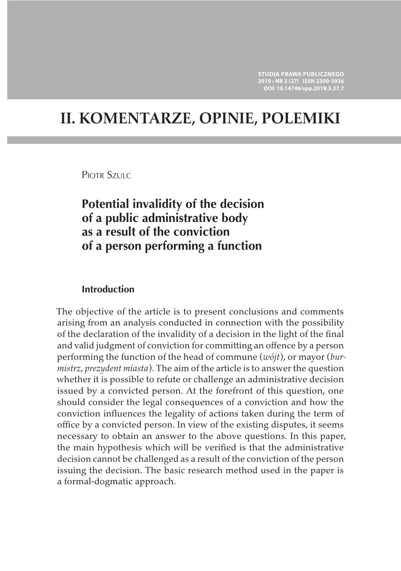# **II. KOMENTARZE, OPINIE, POLEMIKI**

PIOTR SZULC

# **Potential invalidity of the decision of a public administrative body as a result of the conviction of a person performing a function**

## **Introduction**

The objective of the article is to present conclusions and comments arising from an analysis conducted in connection with the possibility of the declaration of the invalidity of a decision in the light of the final and valid judgment of conviction for committing an offence by a person performing the function of the head of commune (*wójt*), or mayor (*burmistrz*, *prezydent miasta*). The aim of the article is to answer the question whether it is possible to refute or challenge an administrative decision issued by a convicted person. At the forefront of this question, one should consider the legal consequences of a conviction and how the conviction influences the legality of actions taken during the term of office by a convicted person. In view of the existing disputes, it seems necessary to obtain an answer to the above questions. In this paper, the main hypothesis which will be verified is that the administrative decision cannot be challenged as a result of the conviction of the person issuing the decision. The basic research method used in the paper is a formal-dogmatic approach.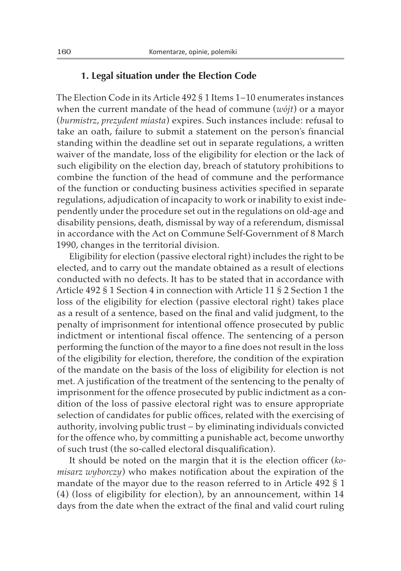## **1. Legal situation under the Election Code**

The Election Code in its Article 492 § 1 Items 1–10 enumerates instances when the current mandate of the head of commune (*wójt*) or a mayor (*burmistrz*, *prezydent miasta*) expires. Such instances include: refusal to take an oath, failure to submit a statement on the person's financial standing within the deadline set out in separate regulations, a written waiver of the mandate, loss of the eligibility for election or the lack of such eligibility on the election day, breach of statutory prohibitions to combine the function of the head of commune and the performance of the function or conducting business activities specified in separate regulations, adjudication of incapacity to work or inability to exist independently under the procedure set out in the regulations on old-age and disability pensions, death, dismissal by way of a referendum, dismissal in accordance with the Act on Commune Self-Government of 8 March 1990, changes in the territorial division.

Eligibility for election (passive electoral right) includes the right to be elected, and to carry out the mandate obtained as a result of elections conducted with no defects. It has to be stated that in accordance with Article 492 § 1 Section 4 in connection with Article 11 § 2 Section 1 the loss of the eligibility for election (passive electoral right) takes place as a result of a sentence, based on the final and valid judgment, to the penalty of imprisonment for intentional offence prosecuted by public indictment or intentional fiscal offence. The sentencing of a person performing the function of the mayor to a fine does not result in the loss of the eligibility for election, therefore, the condition of the expiration of the mandate on the basis of the loss of eligibility for election is not met. A justification of the treatment of the sentencing to the penalty of imprisonment for the offence prosecuted by public indictment as a condition of the loss of passive electoral right was to ensure appropriate selection of candidates for public offices, related with the exercising of authority, involving public trust – by eliminating individuals convicted for the offence who, by committing a punishable act, become unworthy of such trust (the so-called electoral disqualification).

It should be noted on the margin that it is the election officer (*komisarz wyborczy*) who makes notification about the expiration of the mandate of the mayor due to the reason referred to in Article 492 § 1 (4) (loss of eligibility for election), by an announcement, within 14 days from the date when the extract of the final and valid court ruling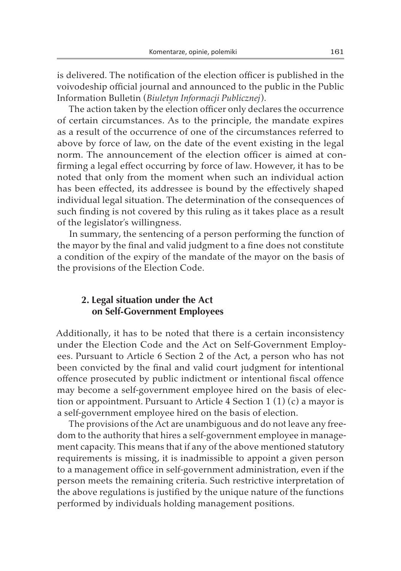is delivered. The notification of the election officer is published in the voivodeship official journal and announced to the public in the Public Information Bulletin (*Biuletyn Informacji Publicznej*).

The action taken by the election officer only declares the occurrence of certain circumstances. As to the principle, the mandate expires as a result of the occurrence of one of the circumstances referred to above by force of law, on the date of the event existing in the legal norm. The announcement of the election officer is aimed at confirming a legal effect occurring by force of law. However, it has to be noted that only from the moment when such an individual action has been effected, its addressee is bound by the effectively shaped individual legal situation. The determination of the consequences of such finding is not covered by this ruling as it takes place as a result of the legislator's willingness.

In summary, the sentencing of a person performing the function of the mayor by the final and valid judgment to a fine does not constitute a condition of the expiry of the mandate of the mayor on the basis of the provisions of the Election Code.

#### **2. Legal situation under the Act on Self-Government Employees**

Additionally, it has to be noted that there is a certain inconsistency under the Election Code and the Act on Self-Government Employees. Pursuant to Article 6 Section 2 of the Act, a person who has not been convicted by the final and valid court judgment for intentional offence prosecuted by public indictment or intentional fiscal offence may become a self-government employee hired on the basis of election or appointment. Pursuant to Article 4 Section  $1(1)(c)$  a mayor is a self-government employee hired on the basis of election.

The provisions of the Act are unambiguous and do not leave any freedom to the authority that hires a self-government employee in management capacity. This means that if any of the above mentioned statutory requirements is missing, it is inadmissible to appoint a given person to a management office in self-government administration, even if the person meets the remaining criteria. Such restrictive interpretation of the above regulations is justified by the unique nature of the functions performed by individuals holding management positions.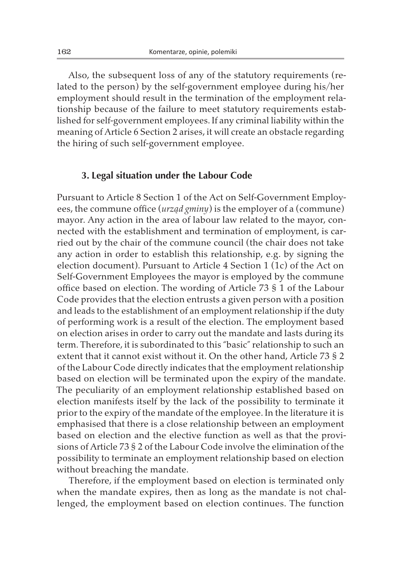Also, the subsequent loss of any of the statutory requirements (related to the person) by the self-government employee during his/her employment should result in the termination of the employment relationship because of the failure to meet statutory requirements established for self-government employees. If any criminal liability within the meaning of Article 6 Section 2 arises, it will create an obstacle regarding the hiring of such self-government employee.

#### **3. Legal situation under the Labour Code**

Pursuant to Article 8 Section 1 of the Act on Self-Government Employees, the commune office (*urząd gminy*) is the employer of a (commune) mayor. Any action in the area of labour law related to the mayor, connected with the establishment and termination of employment, is carried out by the chair of the commune council (the chair does not take any action in order to establish this relationship, e.g. by signing the election document). Pursuant to Article 4 Section 1 (1c) of the Act on Self-Government Employees the mayor is employed by the commune office based on election. The wording of Article 73 § 1 of the Labour Code provides that the election entrusts a given person with a position and leads to the establishment of an employment relationship if the duty of performing work is a result of the election. The employment based on election arises in order to carry out the mandate and lasts during its term. Therefore, it is subordinated to this "basic" relationship to such an extent that it cannot exist without it. On the other hand, Article 73 § 2 of the Labour Code directly indicates that the employment relationship based on election will be terminated upon the expiry of the mandate. The peculiarity of an employment relationship established based on election manifests itself by the lack of the possibility to terminate it prior to the expiry of the mandate of the employee. In the literature it is emphasised that there is a close relationship between an employment based on election and the elective function as well as that the provisions of Article 73 § 2 of the Labour Code involve the elimination of the possibility to terminate an employment relationship based on election without breaching the mandate.

Therefore, if the employment based on election is terminated only when the mandate expires, then as long as the mandate is not challenged, the employment based on election continues. The function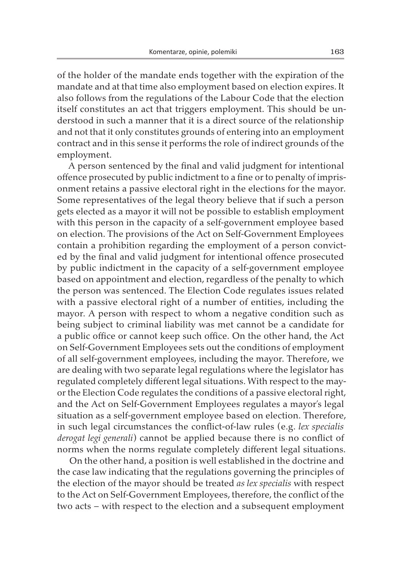of the holder of the mandate ends together with the expiration of the mandate and at that time also employment based on election expires. It also follows from the regulations of the Labour Code that the election itself constitutes an act that triggers employment. This should be understood in such a manner that it is a direct source of the relationship and not that it only constitutes grounds of entering into an employment contract and in this sense it performs the role of indirect grounds of the employment.

A person sentenced by the final and valid judgment for intentional offence prosecuted by public indictment to a fine or to penalty of imprisonment retains a passive electoral right in the elections for the mayor. Some representatives of the legal theory believe that if such a person gets elected as a mayor it will not be possible to establish employment with this person in the capacity of a self-government employee based on election. The provisions of the Act on Self-Government Employees contain a prohibition regarding the employment of a person convicted by the final and valid judgment for intentional offence prosecuted by public indictment in the capacity of a self-government employee based on appointment and election, regardless of the penalty to which the person was sentenced. The Election Code regulates issues related with a passive electoral right of a number of entities, including the mayor. A person with respect to whom a negative condition such as being subject to criminal liability was met cannot be a candidate for a public office or cannot keep such office. On the other hand, the Act on Self-Government Employees sets out the conditions of employment of all self-government employees, including the mayor. Therefore, we are dealing with two separate legal regulations where the legislator has regulated completely different legal situations. With respect to the mayor the Election Code regulates the conditions of a passive electoral right, and the Act on Self-Government Employees regulates a mayor's legal situation as a self-government employee based on election. Therefore, in such legal circumstances the conflict-of-law rules (e.g. *lex specialis derogat legi generali*) cannot be applied because there is no conflict of norms when the norms regulate completely different legal situations.

On the other hand, a position is well established in the doctrine and the case law indicating that the regulations governing the principles of the election of the mayor should be treated *as lex specialis* with respect to the Act on Self-Government Employees, therefore, the conflict of the two acts – with respect to the election and a subsequent employment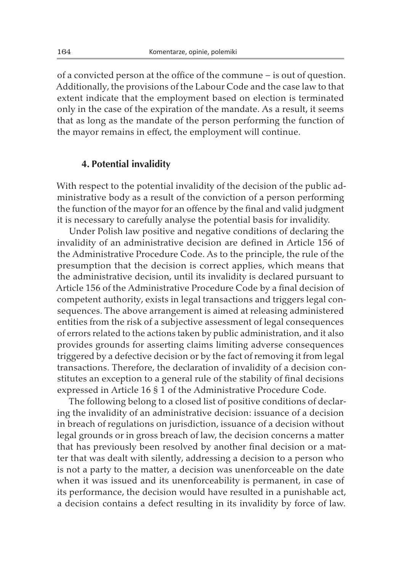of a convicted person at the office of the commune – is out of question. Additionally, the provisions of the Labour Code and the case law to that extent indicate that the employment based on election is terminated only in the case of the expiration of the mandate. As a result, it seems that as long as the mandate of the person performing the function of the mayor remains in effect, the employment will continue.

#### **4. Potential invalidity**

With respect to the potential invalidity of the decision of the public administrative body as a result of the conviction of a person performing the function of the mayor for an offence by the final and valid judgment it is necessary to carefully analyse the potential basis for invalidity.

Under Polish law positive and negative conditions of declaring the invalidity of an administrative decision are defined in Article 156 of the Administrative Procedure Code. As to the principle, the rule of the presumption that the decision is correct applies, which means that the administrative decision, until its invalidity is declared pursuant to Article 156 of the Administrative Procedure Code by a final decision of competent authority, exists in legal transactions and triggers legal consequences. The above arrangement is aimed at releasing administered entities from the risk of a subjective assessment of legal consequences of errors related to the actions taken by public administration, and it also provides grounds for asserting claims limiting adverse consequences triggered by a defective decision or by the fact of removing it from legal transactions. Therefore, the declaration of invalidity of a decision constitutes an exception to a general rule of the stability of final decisions expressed in Article 16 § 1 of the Administrative Procedure Code.

The following belong to a closed list of positive conditions of declaring the invalidity of an administrative decision: issuance of a decision in breach of regulations on jurisdiction, issuance of a decision without legal grounds or in gross breach of law, the decision concerns a matter that has previously been resolved by another final decision or a matter that was dealt with silently, addressing a decision to a person who is not a party to the matter, a decision was unenforceable on the date when it was issued and its unenforceability is permanent, in case of its performance, the decision would have resulted in a punishable act, a decision contains a defect resulting in its invalidity by force of law.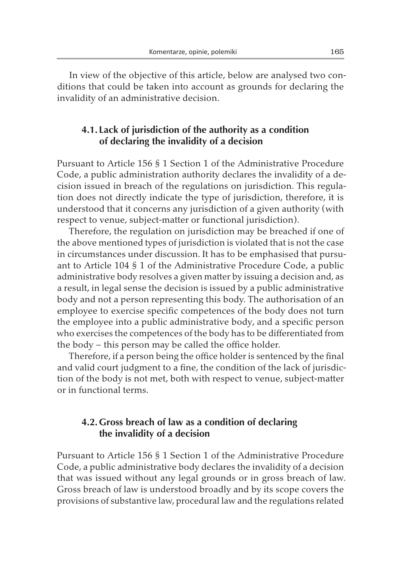In view of the objective of this article, below are analysed two conditions that could be taken into account as grounds for declaring the invalidity of an administrative decision.

# **4.1. Lack of jurisdiction of the authority as a condition of declaring the invalidity of a decision**

Pursuant to Article 156 § 1 Section 1 of the Administrative Procedure Code, a public administration authority declares the invalidity of a decision issued in breach of the regulations on jurisdiction. This regulation does not directly indicate the type of jurisdiction, therefore, it is understood that it concerns any jurisdiction of a given authority (with respect to venue, subject-matter or functional jurisdiction).

Therefore, the regulation on jurisdiction may be breached if one of the above mentioned types of jurisdiction is violated that is not the case in circumstances under discussion. It has to be emphasised that pursuant to Article 104 § 1 of the Administrative Procedure Code, a public administrative body resolves a given matter by issuing a decision and, as a result, in legal sense the decision is issued by a public administrative body and not a person representing this body. The authorisation of an employee to exercise specific competences of the body does not turn the employee into a public administrative body, and a specific person who exercises the competences of the body has to be differentiated from the body – this person may be called the office holder.

Therefore, if a person being the office holder is sentenced by the final and valid court judgment to a fine, the condition of the lack of jurisdiction of the body is not met, both with respect to venue, subject-matter or in functional terms.

# **4.2.Gross breach of law as a condition of declaring the invalidity of a decision**

Pursuant to Article 156 § 1 Section 1 of the Administrative Procedure Code, a public administrative body declares the invalidity of a decision that was issued without any legal grounds or in gross breach of law. Gross breach of law is understood broadly and by its scope covers the provisions of substantive law, procedural law and the regulations related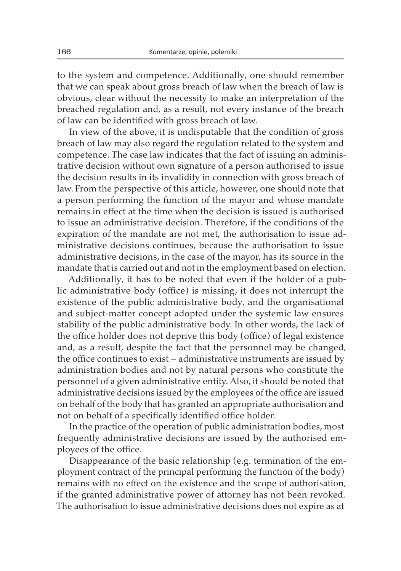to the system and competence. Additionally, one should remember that we can speak about gross breach of law when the breach of law is obvious, clear without the necessity to make an interpretation of the breached regulation and, as a result, not every instance of the breach of law can be identified with gross breach of law.

In view of the above, it is undisputable that the condition of gross breach of law may also regard the regulation related to the system and competence. The case law indicates that the fact of issuing an administrative decision without own signature of a person authorised to issue the decision results in its invalidity in connection with gross breach of law. From the perspective of this article, however, one should note that a person performing the function of the mayor and whose mandate remains in effect at the time when the decision is issued is authorised to issue an administrative decision. Therefore, if the conditions of the expiration of the mandate are not met, the authorisation to issue administrative decisions continues, because the authorisation to issue administrative decisions, in the case of the mayor, has its source in the mandate that is carried out and not in the employment based on election.

Additionally, it has to be noted that even if the holder of a public administrative body (office) is missing, it does not interrupt the existence of the public administrative body, and the organisational and subject-matter concept adopted under the systemic law ensures stability of the public administrative body. In other words, the lack of the office holder does not deprive this body (office) of legal existence and, as a result, despite the fact that the personnel may be changed, the office continues to exist – administrative instruments are issued by administration bodies and not by natural persons who constitute the personnel of a given administrative entity. Also, it should be noted that administrative decisions issued by the employees of the office are issued on behalf of the body that has granted an appropriate authorisation and not on behalf of a specifically identified office holder.

In the practice of the operation of public administration bodies, most frequently administrative decisions are issued by the authorised employees of the office.

Disappearance of the basic relationship (e.g. termination of the employment contract of the principal performing the function of the body) remains with no effect on the existence and the scope of authorisation, if the granted administrative power of attorney has not been revoked. The authorisation to issue administrative decisions does not expire as at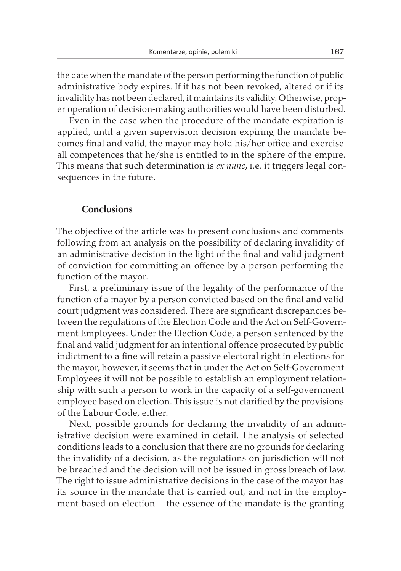the date when the mandate of the person performing the function of public administrative body expires. If it has not been revoked, altered or if its invalidity has not been declared, it maintains its validity. Otherwise, proper operation of decision-making authorities would have been disturbed.

Even in the case when the procedure of the mandate expiration is applied, until a given supervision decision expiring the mandate becomes final and valid, the mayor may hold his/her office and exercise all competences that he/she is entitled to in the sphere of the empire. This means that such determination is *ex nunc*, i.e. it triggers legal consequences in the future.

#### **Conclusions**

The objective of the article was to present conclusions and comments following from an analysis on the possibility of declaring invalidity of an administrative decision in the light of the final and valid judgment of conviction for committing an offence by a person performing the function of the mayor.

First, a preliminary issue of the legality of the performance of the function of a mayor by a person convicted based on the final and valid court judgment was considered. There are significant discrepancies between the regulations of the Election Code and the Act on Self-Government Employees. Under the Election Code, a person sentenced by the final and valid judgment for an intentional offence prosecuted by public indictment to a fine will retain a passive electoral right in elections for the mayor, however, it seems that in under the Act on Self-Government Employees it will not be possible to establish an employment relationship with such a person to work in the capacity of a self-government employee based on election. This issue is not clarified by the provisions of the Labour Code, either.

Next, possible grounds for declaring the invalidity of an administrative decision were examined in detail. The analysis of selected conditions leads to a conclusion that there are no grounds for declaring the invalidity of a decision, as the regulations on jurisdiction will not be breached and the decision will not be issued in gross breach of law. The right to issue administrative decisions in the case of the mayor has its source in the mandate that is carried out, and not in the employment based on election – the essence of the mandate is the granting